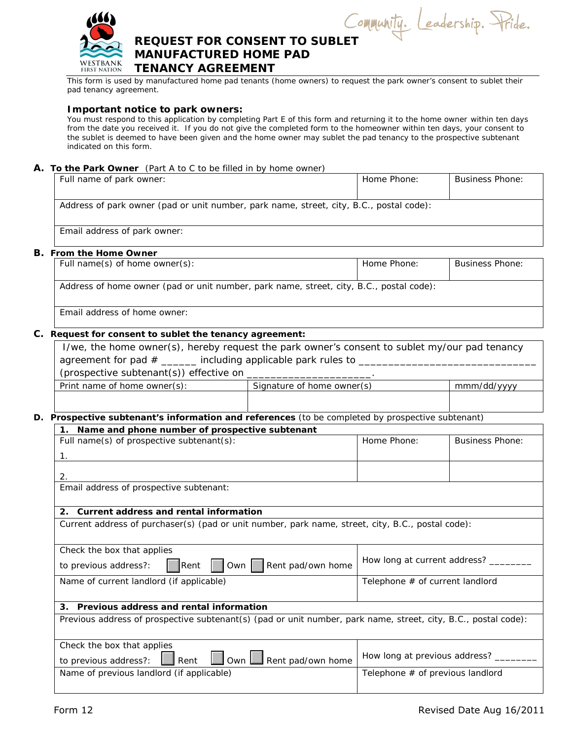

Leadership. Pride. Community.

# **REQUEST FOR CONSENT TO SUBLET MANUFACTURED HOME PAD**<br>WESTBANK TENANCY ACREEMENT **FIRST NATION TENANCY AGREEMENT**

 This form is used by manufactured home pad tenants (home owners) to request the park owner's consent to sublet their pad tenancy agreement.

### **Important notice to park owners:**

You must respond to this application by completing Part E of this form and returning it to the home owner within ten days from the date you received it. If you do not give the completed form to the homeowner within ten days, your consent to the sublet is deemed to have been given and the home owner may sublet the pad tenancy to the prospective subtenant indicated on this form.

## **A. To the Park Owner** (Part A to C to be filled in by home owner)

| Full name of park owner:                                                                | Home Phone: | Business Phone: |
|-----------------------------------------------------------------------------------------|-------------|-----------------|
| Address of park owner (pad or unit number, park name, street, city, B.C., postal code): |             |                 |
| Email address of park owner:                                                            |             |                 |

#### **B. From the Home Owner**

| Full name(s) of home owner(s):                                                          | Home Phone: | <b>Business Phone:</b> |
|-----------------------------------------------------------------------------------------|-------------|------------------------|
| Address of home owner (pad or unit number, park name, street, city, B.C., postal code): |             |                        |
| Email address of home owner:                                                            |             |                        |

## **C. Request for consent to sublet the tenancy agreement:**

| I/we, the home owner(s), hereby request the park owner's consent to sublet my/our pad tenancy                  |                                |                                      |                        |
|----------------------------------------------------------------------------------------------------------------|--------------------------------|--------------------------------------|------------------------|
| (prospective subtenant(s)) effective on _______________________.                                               |                                |                                      |                        |
| Print name of home owner(s): Signature of home owner(s)                                                        |                                |                                      | mmm/dd/yyyy            |
|                                                                                                                |                                |                                      |                        |
| D. Prospective subtenant's information and references (to be completed by prospective subtenant)               |                                |                                      |                        |
| 1. Name and phone number of prospective subtenant                                                              |                                |                                      |                        |
| Full name(s) of prospective subtenant(s):                                                                      | Home Phone:                    |                                      | <b>Business Phone:</b> |
| $1_{\cdot}$                                                                                                    |                                |                                      |                        |
| 2.                                                                                                             |                                |                                      |                        |
| Email address of prospective subtenant:                                                                        |                                |                                      |                        |
|                                                                                                                |                                |                                      |                        |
| 2. Current address and rental information                                                                      |                                |                                      |                        |
| Current address of purchaser(s) (pad or unit number, park name, street, city, B.C., postal code):              |                                |                                      |                        |
|                                                                                                                |                                |                                      |                        |
| Check the box that applies                                                                                     |                                |                                      |                        |
| to previous address?:<br>$\Box$ Rent $\Box$                                                                    | Own   Rent pad/own home        | How long at current address? _____   |                        |
| Name of current landlord (if applicable)                                                                       |                                | Telephone # of current landlord      |                        |
|                                                                                                                |                                |                                      |                        |
| 3. Previous address and rental information                                                                     |                                |                                      |                        |
| Previous address of prospective subtenant(s) (pad or unit number, park name, street, city, B.C., postal code): |                                |                                      |                        |
|                                                                                                                |                                |                                      |                        |
| Check the box that applies                                                                                     |                                |                                      |                        |
| to previous address?: $\boxed{\phantom{a}}$ Rent                                                               | Own <b>N</b> Rent pad/own home | How long at previous address? ______ |                        |
| Name of previous landlord (if applicable)                                                                      |                                | Telephone # of previous landlord     |                        |
|                                                                                                                |                                |                                      |                        |